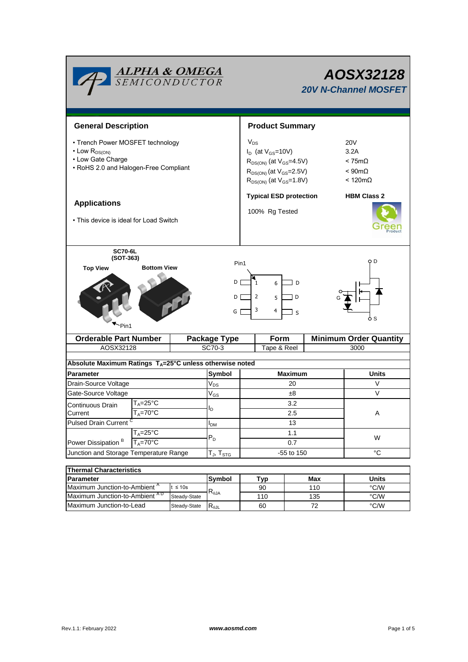| <b>ALPHA &amp; OMEGA</b><br>SEMICONDUCTOR                                                                                                                                                            |                                                  |                                                                                                                                                                                                                                  | AOSX32128<br><b>20V N-Channel MOSFET</b> |                               |  |  |  |  |
|------------------------------------------------------------------------------------------------------------------------------------------------------------------------------------------------------|--------------------------------------------------|----------------------------------------------------------------------------------------------------------------------------------------------------------------------------------------------------------------------------------|------------------------------------------|-------------------------------|--|--|--|--|
| <b>General Description</b>                                                                                                                                                                           |                                                  |                                                                                                                                                                                                                                  | <b>Product Summary</b>                   |                               |  |  |  |  |
| • Trench Power MOSFET technology<br>$\cdot$ Low $R_{DS(ON)}$<br>• Low Gate Charge<br>• RoHS 2.0 and Halogen-Free Compliant                                                                           | $V_{DS}$                                         | <b>20V</b><br>$I_D$ (at $V_{GS}$ =10V)<br>3.2A<br>$R_{DS(ON)}$ (at $V_{GS}$ =4.5V)<br>$< 75m\Omega$<br>$R_{DS(ON)}$ (at $V_{GS}$ =2.5V)<br>$< 90 \text{m}\Omega$<br>$R_{DS(ON)}$ (at $V_{GS} = 1.8V$ )<br>$< 120 \text{m}\Omega$ |                                          |                               |  |  |  |  |
| <b>Applications</b><br>• This device is ideal for Load Switch                                                                                                                                        |                                                  | <b>Typical ESD protection</b><br><b>HBM Class 2</b><br>100% Rg Tested                                                                                                                                                            |                                          |                               |  |  |  |  |
| <b>SC70-6L</b><br>$(SOT-363)$<br>o D<br>Pin1<br><b>Bottom View</b><br><b>Top View</b><br>DΙ<br>6<br>D<br>$\overline{2}$<br>DГ<br>D<br>5<br>3<br>$\overline{4}$<br>GГ<br><sub>S</sub><br>ዕ S<br>·Pin1 |                                                  |                                                                                                                                                                                                                                  |                                          |                               |  |  |  |  |
| <b>Orderable Part Number</b>                                                                                                                                                                         | <b>Package Type</b>                              | Form                                                                                                                                                                                                                             |                                          | <b>Minimum Order Quantity</b> |  |  |  |  |
| AOSX32128                                                                                                                                                                                            | SC70-3                                           | Tape & Reel                                                                                                                                                                                                                      |                                          | 3000                          |  |  |  |  |
| Absolute Maximum Ratings T <sub>A</sub> =25°C unless otherwise noted                                                                                                                                 |                                                  |                                                                                                                                                                                                                                  |                                          |                               |  |  |  |  |
| <b>Parameter</b>                                                                                                                                                                                     | Symbol                                           |                                                                                                                                                                                                                                  | <b>Maximum</b>                           | <b>Units</b>                  |  |  |  |  |
| Drain-Source Voltage                                                                                                                                                                                 |                                                  |                                                                                                                                                                                                                                  | 20                                       | V                             |  |  |  |  |
| Gate-Source Voltage                                                                                                                                                                                  |                                                  |                                                                                                                                                                                                                                  | ±8                                       | $\vee$                        |  |  |  |  |
| $V_{GS}$<br>$\mathsf{T}_\mathsf{A}\texttt{=}25^\circ\mathsf{C}$<br>Continuous Drain                                                                                                                  |                                                  |                                                                                                                                                                                                                                  | 3.2                                      |                               |  |  |  |  |
| $T_A = 70^\circ \overline{C}$<br>Current                                                                                                                                                             |                                                  |                                                                                                                                                                                                                                  | 2.5                                      | A                             |  |  |  |  |
| <b>Pulsed Drain Current</b>                                                                                                                                                                          |                                                  |                                                                                                                                                                                                                                  | 13                                       |                               |  |  |  |  |
| $T_A = 25^{\circ}C$<br>Power Dissipation <sup>B</sup><br>$T_A = 70$ °C                                                                                                                               |                                                  |                                                                                                                                                                                                                                  | 1.1                                      |                               |  |  |  |  |
|                                                                                                                                                                                                      |                                                  |                                                                                                                                                                                                                                  | 0.7                                      | W                             |  |  |  |  |
| Junction and Storage Temperature Range                                                                                                                                                               |                                                  | $T_J$ , $T_{STG}$                                                                                                                                                                                                                | -55 to 150                               | $^{\circ}C$                   |  |  |  |  |
|                                                                                                                                                                                                      |                                                  |                                                                                                                                                                                                                                  |                                          |                               |  |  |  |  |
| <b>Thermal Characteristics</b>                                                                                                                                                                       | Symbol                                           |                                                                                                                                                                                                                                  |                                          |                               |  |  |  |  |
| Parameter                                                                                                                                                                                            |                                                  |                                                                                                                                                                                                                                  | Max                                      | <b>Units</b>                  |  |  |  |  |
| Maximum Junction-to-Ambient <sup>A</sup>                                                                                                                                                             | $t \leq 10s$<br>$\mathsf{R}_{\theta\mathsf{JA}}$ | Typ<br>90                                                                                                                                                                                                                        | 110                                      | $\degree$ C/W                 |  |  |  |  |

Steady-State  $R_{\theta JL}$ 

Maximum Junction-to-Lead Steady-State R<sub>AJL</sub> 60 72 72 °C/W

60

72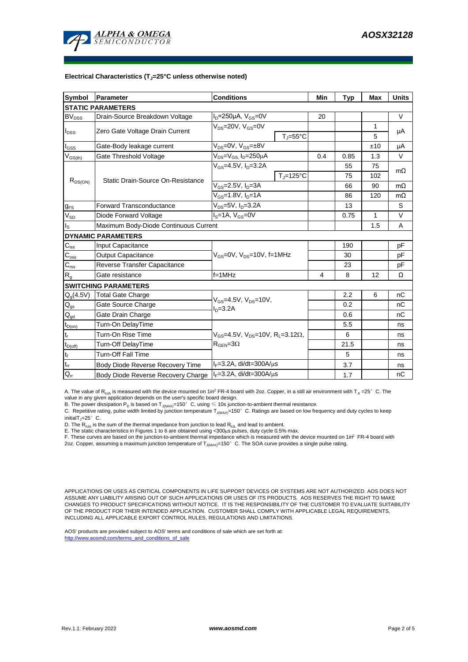

#### **Electrical Characteristics (TJ=25°C unless otherwise noted)**

| Symbol                      | Parameter                             | <b>Conditions</b>                                                                            |                     | Min  | <b>Typ</b>   | Max | <b>Units</b> |  |  |  |  |
|-----------------------------|---------------------------------------|----------------------------------------------------------------------------------------------|---------------------|------|--------------|-----|--------------|--|--|--|--|
| <b>STATIC PARAMETERS</b>    |                                       |                                                                                              |                     |      |              |     |              |  |  |  |  |
| $BV_{DSS}$                  | Drain-Source Breakdown Voltage        | $I_D = 250 \mu A$ , $V_{GS} = 0V$                                                            |                     | 20   |              |     | V            |  |  |  |  |
| $I_{\text{DSS}}$            | Zero Gate Voltage Drain Current       | $V_{DS}$ =20V, $V_{GS}$ =0V                                                                  |                     |      |              | 1   |              |  |  |  |  |
|                             |                                       |                                                                                              | $T_J = 55^{\circ}C$ |      |              | 5   | μA           |  |  |  |  |
| $I_{GSS}$                   | Gate-Body leakage current             | $V_{DS} = 0V$ , $V_{GS} = \pm 8V$                                                            |                     |      |              | ±10 | μA           |  |  |  |  |
| $V_{GS(th)}$                | Gate Threshold Voltage                | V <sub>DS</sub> =V <sub>GS.</sub> I <sub>D</sub> =250µA                                      |                     | 0.4  | 0.85         | 1.3 | V            |  |  |  |  |
| $R_{DS(ON)}$                | Static Drain-Source On-Resistance     | $V_{GS} = 4.5V$ , $I_D = 3.2A$                                                               |                     |      | 55           | 75  | $m\Omega$    |  |  |  |  |
|                             |                                       |                                                                                              | $T_i = 125$ °C      |      | 75           | 102 |              |  |  |  |  |
|                             |                                       | $V_{GS}$ =2.5V, $I_D$ =3A                                                                    |                     |      | 66           | 90  | $m\Omega$    |  |  |  |  |
|                             |                                       | $V_{GS} = 1.8V, I_D = 1A$                                                                    |                     |      | 86           | 120 | $m\Omega$    |  |  |  |  |
| $g_{FS}$                    | <b>Forward Transconductance</b>       | V <sub>ns</sub> =5V, I <sub>n</sub> =3.2A                                                    |                     |      | 13           |     | S            |  |  |  |  |
| $V_{SD}$                    | Diode Forward Voltage                 | $IS=1A, VGS=0V$                                                                              |                     | 0.75 | $\mathbf{1}$ | V   |              |  |  |  |  |
| $I_{\rm S}$                 | Maximum Body-Diode Continuous Current |                                                                                              |                     |      |              | 1.5 | Α            |  |  |  |  |
|                             | <b>DYNAMIC PARAMETERS</b>             |                                                                                              |                     |      |              |     |              |  |  |  |  |
| $\mathbf{C}_{\text{iss}}$   | Input Capacitance                     | V <sub>GS</sub> =0V, V <sub>DS</sub> =10V, f=1MHz                                            |                     |      | 190          |     | рF           |  |  |  |  |
| $C_{\rm oss}$               | Output Capacitance                    |                                                                                              |                     |      | 30           |     | pF           |  |  |  |  |
| $\mathbf{C}_{\mathrm{rss}}$ | Reverse Transfer Capacitance          |                                                                                              |                     | 23   |              | рF  |              |  |  |  |  |
| $R_{g}$                     | Gate resistance                       | $f = 1$ MHz                                                                                  |                     | 4    | 8            | 12  | Ω            |  |  |  |  |
|                             | <b>SWITCHING PARAMETERS</b>           |                                                                                              |                     |      |              |     |              |  |  |  |  |
| $Q_g(4.5V)$                 | <b>Total Gate Charge</b>              | $V_{GS} = 4.5V$ , $V_{DS} = 10V$ ,<br>$ID=3.2A$                                              |                     |      | 2.2          | 6   | nC           |  |  |  |  |
| $\mathbf{Q}_\text{gs}$      | Gate Source Charge                    |                                                                                              |                     |      | 0.2          |     | nC           |  |  |  |  |
| $Q_{gd}$                    | Gate Drain Charge                     |                                                                                              |                     |      | 0.6          |     | nС           |  |  |  |  |
| $t_{D(on)}$                 | Turn-On DelayTime                     | $V_{GS}$ =4.5V, $V_{DS}$ =10V, R <sub>1</sub> =3.12 $\Omega$ ,<br>$R_{\text{GEN}} = 3\Omega$ |                     |      | 5.5          |     | ns           |  |  |  |  |
| $t_r$                       | Turn-On Rise Time                     |                                                                                              |                     |      | 6            |     | ns           |  |  |  |  |
| $t_{D(off)}$                | Turn-Off DelayTime                    |                                                                                              |                     |      | 21.5         |     | ns           |  |  |  |  |
| $\mathbf{t}_\text{f}$       | <b>Turn-Off Fall Time</b>             |                                                                                              |                     |      | 5            |     | ns           |  |  |  |  |
| $\mathfrak{t}_{\text{rr}}$  | Body Diode Reverse Recovery Time      | $I_F = 3.2A$ , di/dt=300A/ $\mu$ s                                                           |                     |      | 3.7          |     | ns           |  |  |  |  |
| $Q_{rr}$                    | Body Diode Reverse Recovery Charge    | $I_F = 3.2A$ , di/dt=300A/ $\mu$ s                                                           |                     |      | 1.7          |     | nC           |  |  |  |  |

A. The value of R<sub>0JA</sub> is measured with the device mounted on 1in<sup>2</sup> FR-4 board with 2oz. Copper, in a still air environment with T<sub>A</sub> =25°C. The value in any given application depends on the user's specific board design.

B. The power dissipation  ${\sf P}_{\sf D}$  is based on  ${\sf T}_{\sf J(MAX)}$ =150 $^\circ\,$  C, using  $\leqslant$  10s junction-to-ambient thermal resistance.

C. Repetitive rating, pulse width limited by junction temperature T $_{\rm J(MAX)}$ =150°C. Ratings are based on low frequency and duty cycles to keep

 $initialT = 25^\circ$  C.

D. The R<sub>eJA</sub> is the sum of the thermal impedance from junction to lead R<sub>eJL</sub> and lead to ambient.<br>E. The static characteristics in Figures 1 to 6 are obtained using <300µs pulses, duty cycle 0.5% max.<br>F. These curves ar

2oz. Copper, assuming a maximum junction temperature of T<sub>J(MAX)</sub>=150°C. The SOA curve provides a single pulse rating.

APPLICATIONS OR USES AS CRITICAL COMPONENTS IN LIFE SUPPORT DEVICES OR SYSTEMS ARE NOT AUTHORIZED. AOS DOES NOT ASSUME ANY LIABILITY ARISING OUT OF SUCH APPLICATIONS OR USES OF ITS PRODUCTS. AOS RESERVES THE RIGHT TO MAKE CHANGES TO PRODUCT SPECIFICATIONS WITHOUT NOTICE. IT IS THE RESPONSIBILITY OF THE CUSTOMER TO EVALUATE SUITABILITY OF THE PRODUCT FOR THEIR INTENDED APPLICATION. CUSTOMER SHALL COMPLY WITH APPLICABLE LEGAL REQUIREMENTS, INCLUDING ALL APPLICABLE EXPORT CONTROL RULES, REGULATIONS AND LIMITATIONS.

AOS' products are provided subject to AOS' terms and conditions of sale which are set forth at: http://www.aosmd.com/terms\_and\_conditions\_of\_sale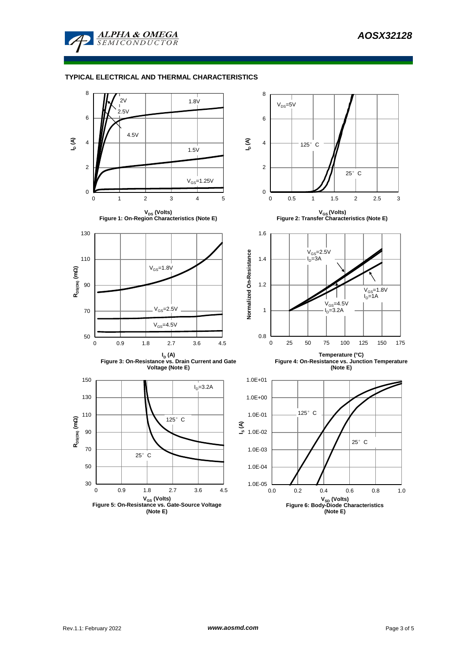

### **TYPICAL ELECTRICAL AND THERMAL CHARACTERISTICS**

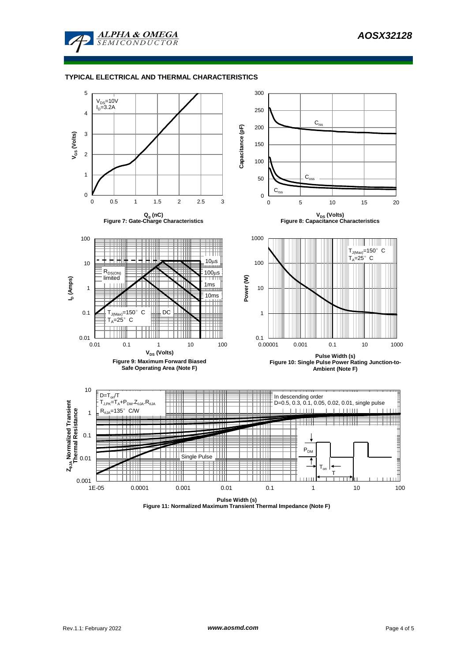

### **TYPICAL ELECTRICAL AND THERMAL CHARACTERISTICS**



**Pulse Width (s) Figure 11: Normalized Maximum Transient Thermal Impedance (Note F)**